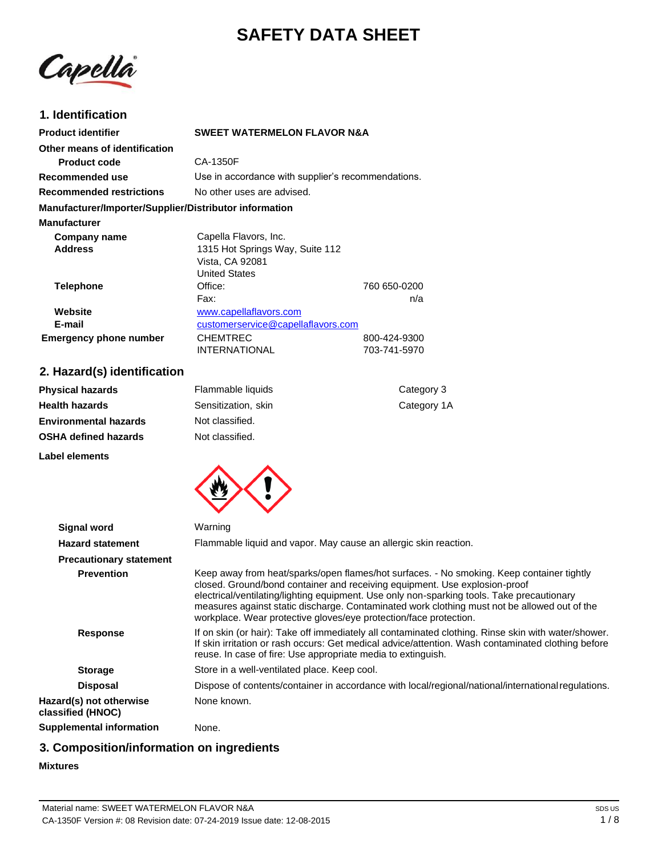# **SAFETY DATA SHEET**

Capella

# **1. Identification**

| <b>Product identifier</b>                              | <b>SWEET WATERMELON FLAVOR N&amp;A</b>             |              |
|--------------------------------------------------------|----------------------------------------------------|--------------|
| Other means of identification                          |                                                    |              |
| <b>Product code</b>                                    | CA-1350F                                           |              |
| Recommended use                                        | Use in accordance with supplier's recommendations. |              |
| <b>Recommended restrictions</b>                        | No other uses are advised.                         |              |
| Manufacturer/Importer/Supplier/Distributor information |                                                    |              |
| <b>Manufacturer</b>                                    |                                                    |              |
| Company name                                           | Capella Flavors, Inc.                              |              |
| <b>Address</b>                                         | 1315 Hot Springs Way, Suite 112                    |              |
|                                                        | Vista, CA 92081                                    |              |
|                                                        | <b>United States</b>                               |              |
| <b>Telephone</b>                                       | Office:                                            | 760 650-0200 |
|                                                        | Fax:                                               | n/a          |
| Website                                                | www.capellaflavors.com                             |              |
| E-mail                                                 | customerservice@capellaflavors.com                 |              |
| <b>Emergency phone number</b>                          | <b>CHEMTREC</b>                                    | 800-424-9300 |
|                                                        | <b>INTERNATIONAL</b>                               | 703-741-5970 |
|                                                        |                                                    |              |

# **2. Hazard(s) identification**

| <b>Physical hazards</b>      | Flammable liquids   | Category 3  |
|------------------------------|---------------------|-------------|
| <b>Health hazards</b>        | Sensitization, skin | Category 1A |
| <b>Environmental hazards</b> | Not classified.     |             |
| <b>OSHA defined hazards</b>  | Not classified.     |             |
| Label elements               |                     |             |



| <b>Signal word</b>                           | Warning                                                                                                                                                                                                                                                                                                                                                                                                                                    |
|----------------------------------------------|--------------------------------------------------------------------------------------------------------------------------------------------------------------------------------------------------------------------------------------------------------------------------------------------------------------------------------------------------------------------------------------------------------------------------------------------|
| <b>Hazard statement</b>                      | Flammable liquid and vapor. May cause an allergic skin reaction.                                                                                                                                                                                                                                                                                                                                                                           |
| <b>Precautionary statement</b>               |                                                                                                                                                                                                                                                                                                                                                                                                                                            |
| <b>Prevention</b>                            | Keep away from heat/sparks/open flames/hot surfaces. - No smoking. Keep container tightly<br>closed. Ground/bond container and receiving equipment. Use explosion-proof<br>electrical/ventilating/lighting equipment. Use only non-sparking tools. Take precautionary<br>measures against static discharge. Contaminated work clothing must not be allowed out of the<br>workplace. Wear protective gloves/eye protection/face protection. |
| <b>Response</b>                              | If on skin (or hair): Take off immediately all contaminated clothing. Rinse skin with water/shower.<br>If skin irritation or rash occurs: Get medical advice/attention. Wash contaminated clothing before<br>reuse. In case of fire: Use appropriate media to extinguish.                                                                                                                                                                  |
| <b>Storage</b>                               | Store in a well-ventilated place. Keep cool.                                                                                                                                                                                                                                                                                                                                                                                               |
| <b>Disposal</b>                              | Dispose of contents/container in accordance with local/regional/national/international regulations.                                                                                                                                                                                                                                                                                                                                        |
| Hazard(s) not otherwise<br>classified (HNOC) | None known.                                                                                                                                                                                                                                                                                                                                                                                                                                |
| Supplemental information                     | None.                                                                                                                                                                                                                                                                                                                                                                                                                                      |

# **3. Composition/information on ingredients**

### **Mixtures**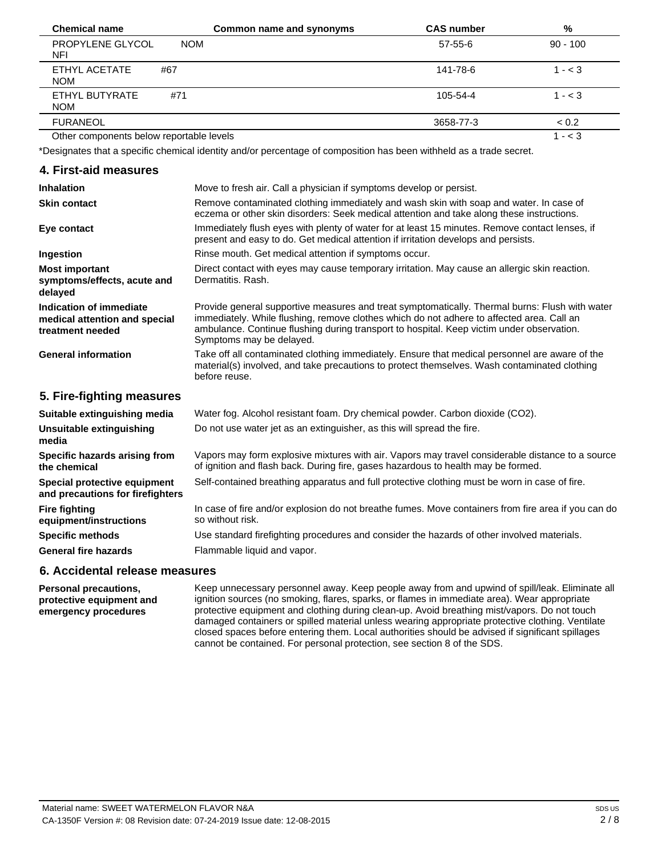| <b>Chemical name</b>                     | Common name and synonyms | <b>CAS number</b> | %          |
|------------------------------------------|--------------------------|-------------------|------------|
| PROPYLENE GLYCOL<br><b>NOM</b><br>NFI    |                          | $57 - 55 - 6$     | $90 - 100$ |
| ETHYL ACETATE<br>#67<br><b>NOM</b>       |                          | 141-78-6          | $1 - < 3$  |
| ETHYL BUTYRATE<br>#71<br><b>NOM</b>      |                          | 105-54-4          | $1 - < 3$  |
| <b>FURANEOL</b>                          |                          | 3658-77-3         | < 0.2      |
| Other components below reportable levels |                          |                   | $- < 3$    |

\*Designates that a specific chemical identity and/or percentage of composition has been withheld as a trade secret.

| 4. First-aid measures |  |  |  |
|-----------------------|--|--|--|
|-----------------------|--|--|--|

| <b>Inhalation</b>                                                            | Move to fresh air. Call a physician if symptoms develop or persist.                                                                                                                                                                                                                                                  |
|------------------------------------------------------------------------------|----------------------------------------------------------------------------------------------------------------------------------------------------------------------------------------------------------------------------------------------------------------------------------------------------------------------|
| <b>Skin contact</b>                                                          | Remove contaminated clothing immediately and wash skin with soap and water. In case of<br>eczema or other skin disorders: Seek medical attention and take along these instructions.                                                                                                                                  |
| Eye contact                                                                  | Immediately flush eyes with plenty of water for at least 15 minutes. Remove contact lenses, if<br>present and easy to do. Get medical attention if irritation develops and persists.                                                                                                                                 |
| Ingestion                                                                    | Rinse mouth. Get medical attention if symptoms occur.                                                                                                                                                                                                                                                                |
| <b>Most important</b><br>symptoms/effects, acute and<br>delayed              | Direct contact with eyes may cause temporary irritation. May cause an allergic skin reaction.<br>Dermatitis. Rash.                                                                                                                                                                                                   |
| Indication of immediate<br>medical attention and special<br>treatment needed | Provide general supportive measures and treat symptomatically. Thermal burns: Flush with water<br>immediately. While flushing, remove clothes which do not adhere to affected area. Call an<br>ambulance. Continue flushing during transport to hospital. Keep victim under observation.<br>Symptoms may be delayed. |
| <b>General information</b>                                                   | Take off all contaminated clothing immediately. Ensure that medical personnel are aware of the<br>material(s) involved, and take precautions to protect themselves. Wash contaminated clothing<br>before reuse.                                                                                                      |
| 5. Fire-fighting measures                                                    |                                                                                                                                                                                                                                                                                                                      |
| Suitable extinguishing media                                                 | Water fog. Alcohol resistant foam. Dry chemical powder. Carbon dioxide (CO2).                                                                                                                                                                                                                                        |
| Unsuitable extinguishing<br>media                                            | Do not use water jet as an extinguisher, as this will spread the fire.                                                                                                                                                                                                                                               |
| Specific hazards arising from<br>the chemical                                | Vapors may form explosive mixtures with air. Vapors may travel considerable distance to a source<br>of ignition and flash back. During fire, gases hazardous to health may be formed.                                                                                                                                |
| Special protective equipment<br>and precautions for firefighters             | Self-contained breathing apparatus and full protective clothing must be worn in case of fire.                                                                                                                                                                                                                        |
| <b>Fire fighting</b><br>equipment/instructions                               | In case of fire and/or explosion do not breathe fumes. Move containers from fire area if you can do<br>so without risk.                                                                                                                                                                                              |
| <b>Specific methods</b>                                                      | Use standard firefighting procedures and consider the hazards of other involved materials.                                                                                                                                                                                                                           |
| <b>General fire hazards</b>                                                  | Flammable liquid and vapor.                                                                                                                                                                                                                                                                                          |
|                                                                              |                                                                                                                                                                                                                                                                                                                      |

### **6. Accidental release measures**

**Personal precautions, protective equipment and emergency procedures** Keep unnecessary personnel away. Keep people away from and upwind of spill/leak. Eliminate all ignition sources (no smoking, flares, sparks, or flames in immediate area). Wear appropriate protective equipment and clothing during clean-up. Avoid breathing mist/vapors. Do not touch damaged containers or spilled material unless wearing appropriate protective clothing. Ventilate closed spaces before entering them. Local authorities should be advised if significant spillages cannot be contained. For personal protection, see section 8 of the SDS.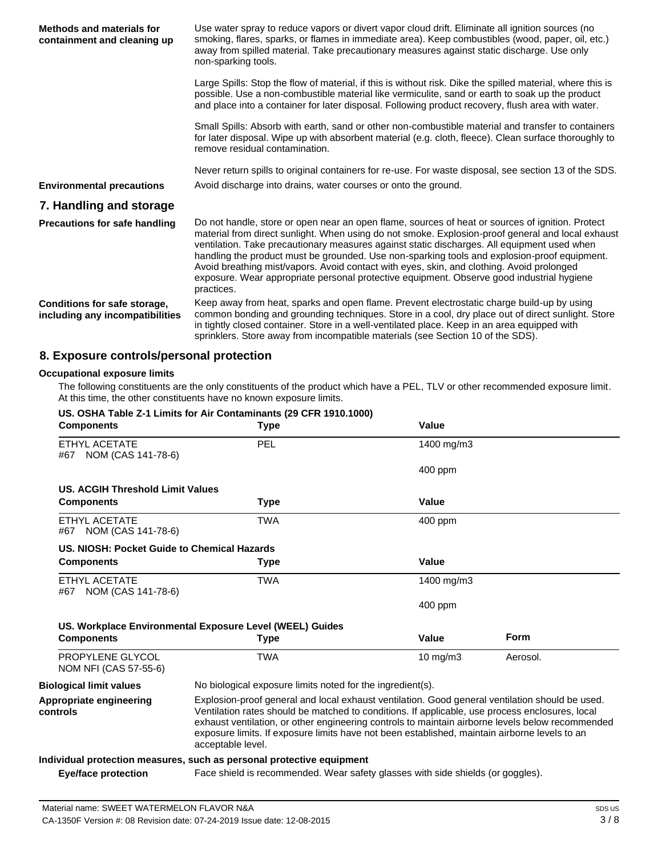| Methods and materials for<br>containment and cleaning up        | Use water spray to reduce vapors or divert vapor cloud drift. Eliminate all ignition sources (no<br>smoking, flares, sparks, or flames in immediate area). Keep combustibles (wood, paper, oil, etc.)<br>away from spilled material. Take precautionary measures against static discharge. Use only<br>non-sparking tools.                                                                                                                                                                                                                                                                                   |
|-----------------------------------------------------------------|--------------------------------------------------------------------------------------------------------------------------------------------------------------------------------------------------------------------------------------------------------------------------------------------------------------------------------------------------------------------------------------------------------------------------------------------------------------------------------------------------------------------------------------------------------------------------------------------------------------|
|                                                                 | Large Spills: Stop the flow of material, if this is without risk. Dike the spilled material, where this is<br>possible. Use a non-combustible material like vermiculite, sand or earth to soak up the product<br>and place into a container for later disposal. Following product recovery, flush area with water.                                                                                                                                                                                                                                                                                           |
|                                                                 | Small Spills: Absorb with earth, sand or other non-combustible material and transfer to containers<br>for later disposal. Wipe up with absorbent material (e.g. cloth, fleece). Clean surface thoroughly to<br>remove residual contamination.                                                                                                                                                                                                                                                                                                                                                                |
|                                                                 | Never return spills to original containers for re-use. For waste disposal, see section 13 of the SDS.                                                                                                                                                                                                                                                                                                                                                                                                                                                                                                        |
| <b>Environmental precautions</b>                                | Avoid discharge into drains, water courses or onto the ground.                                                                                                                                                                                                                                                                                                                                                                                                                                                                                                                                               |
| 7. Handling and storage                                         |                                                                                                                                                                                                                                                                                                                                                                                                                                                                                                                                                                                                              |
| <b>Precautions for safe handling</b>                            | Do not handle, store or open near an open flame, sources of heat or sources of ignition. Protect<br>material from direct sunlight. When using do not smoke. Explosion-proof general and local exhaust<br>ventilation. Take precautionary measures against static discharges. All equipment used when<br>handling the product must be grounded. Use non-sparking tools and explosion-proof equipment.<br>Avoid breathing mist/vapors. Avoid contact with eyes, skin, and clothing. Avoid prolonged<br>exposure. Wear appropriate personal protective equipment. Observe good industrial hygiene<br>practices. |
| Conditions for safe storage,<br>including any incompatibilities | Keep away from heat, sparks and open flame. Prevent electrostatic charge build-up by using<br>common bonding and grounding techniques. Store in a cool, dry place out of direct sunlight. Store<br>in tightly closed container. Store in a well-ventilated place. Keep in an area equipped with<br>sprinklers. Store away from incompatible materials (see Section 10 of the SDS).                                                                                                                                                                                                                           |

# **8. Exposure controls/personal protection**

**US. OSHA Table Z-1 Limits for Air Contaminants (29 CFR 1910.1000)**

#### **Occupational exposure limits**

The following constituents are the only constituents of the product which have a PEL, TLV or other recommended exposure limit. At this time, the other constituents have no known exposure limits.

| <b>Components</b>                           | <b>Type</b>                                                                                                                                                                                                                                                                                                                                                                                                                  | Value             |             |
|---------------------------------------------|------------------------------------------------------------------------------------------------------------------------------------------------------------------------------------------------------------------------------------------------------------------------------------------------------------------------------------------------------------------------------------------------------------------------------|-------------------|-------------|
| ETHYL ACETATE<br>#67 NOM (CAS 141-78-6)     | PEL                                                                                                                                                                                                                                                                                                                                                                                                                          | 1400 mg/m3        |             |
|                                             |                                                                                                                                                                                                                                                                                                                                                                                                                              | $400$ ppm         |             |
| <b>US. ACGIH Threshold Limit Values</b>     |                                                                                                                                                                                                                                                                                                                                                                                                                              |                   |             |
| <b>Components</b>                           | Type                                                                                                                                                                                                                                                                                                                                                                                                                         | Value             |             |
| ETHYL ACETATE<br>#67 NOM (CAS 141-78-6)     | <b>TWA</b>                                                                                                                                                                                                                                                                                                                                                                                                                   | 400 ppm           |             |
| US. NIOSH: Pocket Guide to Chemical Hazards |                                                                                                                                                                                                                                                                                                                                                                                                                              |                   |             |
| <b>Components</b>                           | <b>Type</b>                                                                                                                                                                                                                                                                                                                                                                                                                  | Value             |             |
| ETHYL ACETATE<br>#67 NOM (CAS 141-78-6)     | <b>TWA</b>                                                                                                                                                                                                                                                                                                                                                                                                                   | 1400 mg/m3        |             |
|                                             |                                                                                                                                                                                                                                                                                                                                                                                                                              | 400 ppm           |             |
|                                             | US. Workplace Environmental Exposure Level (WEEL) Guides                                                                                                                                                                                                                                                                                                                                                                     |                   |             |
| <b>Components</b>                           | <b>Type</b>                                                                                                                                                                                                                                                                                                                                                                                                                  | Value             | <b>Form</b> |
| PROPYLENE GLYCOL<br>NOM NFI (CAS 57-55-6)   | <b>TWA</b>                                                                                                                                                                                                                                                                                                                                                                                                                   | $10 \text{ mg/m}$ | Aerosol.    |
| <b>Biological limit values</b>              | No biological exposure limits noted for the ingredient(s).                                                                                                                                                                                                                                                                                                                                                                   |                   |             |
| Appropriate engineering<br>controls         | Explosion-proof general and local exhaust ventilation. Good general ventilation should be used.<br>Ventilation rates should be matched to conditions. If applicable, use process enclosures, local<br>exhaust ventilation, or other engineering controls to maintain airborne levels below recommended<br>exposure limits. If exposure limits have not been established, maintain airborne levels to an<br>acceptable level. |                   |             |
|                                             | Individual protection measures, such as personal protective equipment                                                                                                                                                                                                                                                                                                                                                        |                   |             |
| <b>Eye/face protection</b>                  | Face shield is recommended. Wear safety glasses with side shields (or goggles).                                                                                                                                                                                                                                                                                                                                              |                   |             |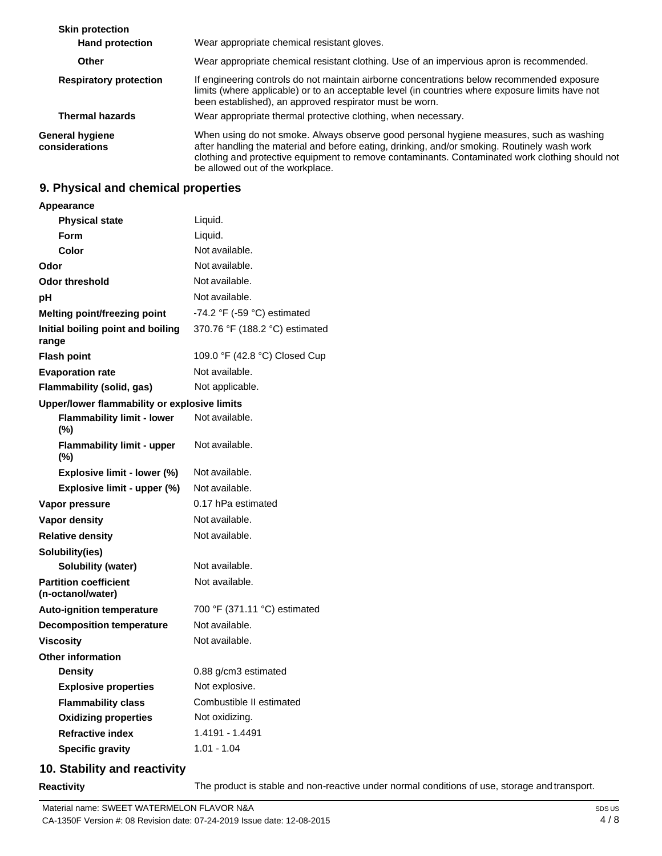| <b>Skin protection</b>                   |                                                                                                                                                                                                                                                                                                                                |
|------------------------------------------|--------------------------------------------------------------------------------------------------------------------------------------------------------------------------------------------------------------------------------------------------------------------------------------------------------------------------------|
| <b>Hand protection</b>                   | Wear appropriate chemical resistant gloves.                                                                                                                                                                                                                                                                                    |
| <b>Other</b>                             | Wear appropriate chemical resistant clothing. Use of an impervious apron is recommended.                                                                                                                                                                                                                                       |
| <b>Respiratory protection</b>            | If engineering controls do not maintain airborne concentrations below recommended exposure<br>limits (where applicable) or to an acceptable level (in countries where exposure limits have not<br>been established), an approved respirator must be worn.                                                                      |
| <b>Thermal hazards</b>                   | Wear appropriate thermal protective clothing, when necessary.                                                                                                                                                                                                                                                                  |
| <b>General hygiene</b><br>considerations | When using do not smoke. Always observe good personal hygiene measures, such as washing<br>after handling the material and before eating, drinking, and/or smoking. Routinely wash work<br>clothing and protective equipment to remove contaminants. Contaminated work clothing should not<br>be allowed out of the workplace. |

# **9. Physical and chemical properties**

| <b>Appearance</b>                                 |                                |
|---------------------------------------------------|--------------------------------|
| <b>Physical state</b>                             | Liquid.                        |
| Form                                              | Liquid.                        |
| Color                                             | Not available.                 |
| Odor                                              | Not available.                 |
| <b>Odor threshold</b>                             | Not available.                 |
| рH                                                | Not available.                 |
| Melting point/freezing point                      | -74.2 °F (-59 °C) estimated    |
| Initial boiling point and boiling<br>range        | 370.76 °F (188.2 °C) estimated |
| <b>Flash point</b>                                | 109.0 °F (42.8 °C) Closed Cup  |
| <b>Evaporation rate</b>                           | Not available.                 |
| <b>Flammability (solid, gas)</b>                  | Not applicable.                |
| Upper/lower flammability or explosive limits      |                                |
| <b>Flammability limit - lower</b><br>$(\%)$       | Not available.                 |
| <b>Flammability limit - upper</b><br>$(\%)$       | Not available.                 |
| Explosive limit - lower (%)                       | Not available.                 |
| Explosive limit - upper (%)                       | Not available.                 |
| Vapor pressure                                    | 0.17 hPa estimated             |
| Vapor density                                     | Not available.                 |
| <b>Relative density</b>                           | Not available.                 |
| Solubility(ies)                                   |                                |
| Solubility (water)                                | Not available.                 |
| <b>Partition coefficient</b><br>(n-octanol/water) | Not available.                 |
| <b>Auto-ignition temperature</b>                  | 700 °F (371.11 °C) estimated   |
| <b>Decomposition temperature</b>                  | Not available.                 |
| <b>Viscosity</b>                                  | Not available.                 |
| <b>Other information</b>                          |                                |
| <b>Density</b>                                    | 0.88 g/cm3 estimated           |
| <b>Explosive properties</b>                       | Not explosive.                 |
| <b>Flammability class</b>                         | Combustible II estimated       |
| <b>Oxidizing properties</b>                       | Not oxidizing.                 |
| <b>Refractive index</b>                           | 1.4191 - 1.4491                |
| <b>Specific gravity</b>                           | $1.01 - 1.04$                  |

# **10. Stability and reactivity**

**Reactivity** The product is stable and non-reactive under normal conditions of use, storage and transport.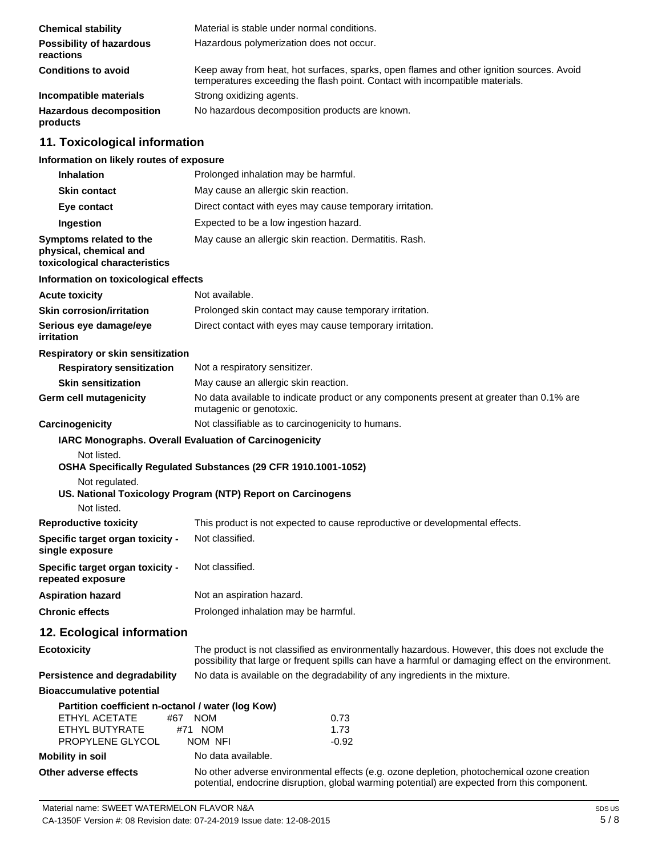| <b>Chemical stability</b>                    | Material is stable under normal conditions.                                                                                                                              |
|----------------------------------------------|--------------------------------------------------------------------------------------------------------------------------------------------------------------------------|
| <b>Possibility of hazardous</b><br>reactions | Hazardous polymerization does not occur.                                                                                                                                 |
| <b>Conditions to avoid</b>                   | Keep away from heat, hot surfaces, sparks, open flames and other ignition sources. Avoid<br>temperatures exceeding the flash point. Contact with incompatible materials. |
| Incompatible materials                       | Strong oxidizing agents.                                                                                                                                                 |
| <b>Hazardous decomposition</b><br>products   | No hazardous decomposition products are known.                                                                                                                           |

# **11. Toxicological information**

### **Information on likely routes of exposure**

| <b>Inhalation</b>                                                                                               | Prolonged inhalation may be harmful.                                                                                                                                                                  |
|-----------------------------------------------------------------------------------------------------------------|-------------------------------------------------------------------------------------------------------------------------------------------------------------------------------------------------------|
| Skin contact                                                                                                    | May cause an allergic skin reaction.                                                                                                                                                                  |
| Eye contact                                                                                                     | Direct contact with eyes may cause temporary irritation.                                                                                                                                              |
| Ingestion                                                                                                       | Expected to be a low ingestion hazard.                                                                                                                                                                |
| Symptoms related to the<br>physical, chemical and<br>toxicological characteristics                              | May cause an allergic skin reaction. Dermatitis. Rash.                                                                                                                                                |
| Information on toxicological effects                                                                            |                                                                                                                                                                                                       |
| <b>Acute toxicity</b>                                                                                           | Not available.                                                                                                                                                                                        |
| <b>Skin corrosion/irritation</b>                                                                                | Prolonged skin contact may cause temporary irritation.                                                                                                                                                |
| Serious eye damage/eye<br>irritation                                                                            | Direct contact with eyes may cause temporary irritation.                                                                                                                                              |
| Respiratory or skin sensitization                                                                               |                                                                                                                                                                                                       |
| <b>Respiratory sensitization</b>                                                                                | Not a respiratory sensitizer.                                                                                                                                                                         |
| <b>Skin sensitization</b>                                                                                       | May cause an allergic skin reaction.                                                                                                                                                                  |
| Germ cell mutagenicity                                                                                          | No data available to indicate product or any components present at greater than 0.1% are<br>mutagenic or genotoxic.                                                                                   |
| Carcinogenicity                                                                                                 | Not classifiable as to carcinogenicity to humans.                                                                                                                                                     |
| Not listed.<br>Not regulated.<br>Not listed.                                                                    | OSHA Specifically Regulated Substances (29 CFR 1910.1001-1052)<br>US. National Toxicology Program (NTP) Report on Carcinogens                                                                         |
| <b>Reproductive toxicity</b>                                                                                    | This product is not expected to cause reproductive or developmental effects.                                                                                                                          |
| Specific target organ toxicity -<br>single exposure                                                             | Not classified.                                                                                                                                                                                       |
| Specific target organ toxicity -<br>repeated exposure                                                           | Not classified.                                                                                                                                                                                       |
| <b>Aspiration hazard</b>                                                                                        | Not an aspiration hazard.                                                                                                                                                                             |
| <b>Chronic effects</b>                                                                                          | Prolonged inhalation may be harmful.                                                                                                                                                                  |
| 12. Ecological information                                                                                      |                                                                                                                                                                                                       |
| <b>Ecotoxicity</b>                                                                                              | The product is not classified as environmentally hazardous. However, this does not exclude the<br>possibility that large or frequent spills can have a harmful or damaging effect on the environment. |
| Persistence and degradability                                                                                   | No data is available on the degradability of any ingredients in the mixture.                                                                                                                          |
| <b>Bioaccumulative potential</b>                                                                                |                                                                                                                                                                                                       |
| Partition coefficient n-octanol / water (log Kow)<br>ETHYL ACETATE<br>#67<br>ETHYL BUTYRATE<br>PROPYLENE GLYCOL | <b>NOM</b><br>0.73<br>#71 NOM<br>1.73<br>NOM NFI<br>$-0.92$                                                                                                                                           |
| <b>Mobility in soil</b>                                                                                         | No data available.                                                                                                                                                                                    |

**Other adverse effects** No other adverse environmental effects (e.g. ozone depletion, photochemical ozone creation potential, endocrine disruption, global warming potential) are expected from this component.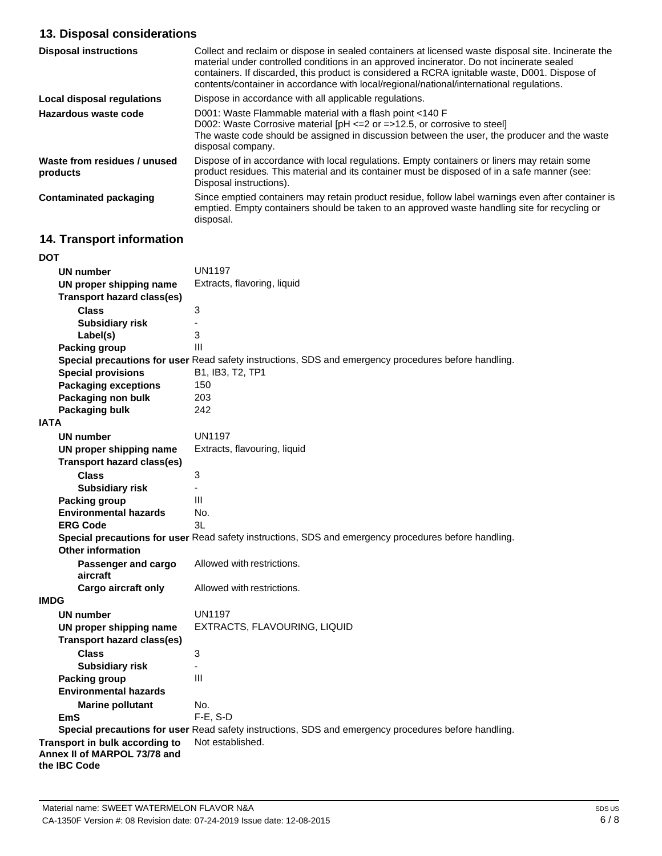# **13. Disposal considerations**

| <b>Disposal instructions</b>             | Collect and reclaim or dispose in sealed containers at licensed waste disposal site. Incinerate the<br>material under controlled conditions in an approved incinerator. Do not incinerate sealed<br>containers. If discarded, this product is considered a RCRA ignitable waste, D001. Dispose of<br>contents/container in accordance with local/regional/national/international regulations. |
|------------------------------------------|-----------------------------------------------------------------------------------------------------------------------------------------------------------------------------------------------------------------------------------------------------------------------------------------------------------------------------------------------------------------------------------------------|
| Local disposal regulations               | Dispose in accordance with all applicable regulations.                                                                                                                                                                                                                                                                                                                                        |
| Hazardous waste code                     | D001: Waste Flammable material with a flash point <140 F<br>D002: Waste Corrosive material $[PH \le 2$ or $= >12.5$ , or corrosive to steel<br>The waste code should be assigned in discussion between the user, the producer and the waste<br>disposal company.                                                                                                                              |
| Waste from residues / unused<br>products | Dispose of in accordance with local regulations. Empty containers or liners may retain some<br>product residues. This material and its container must be disposed of in a safe manner (see:<br>Disposal instructions).                                                                                                                                                                        |
| <b>Contaminated packaging</b>            | Since emptied containers may retain product residue, follow label warnings even after container is<br>emptied. Empty containers should be taken to an approved waste handling site for recycling or<br>disposal.                                                                                                                                                                              |

# **14. Transport information**

| DOT                                                                            |                                                                                                      |
|--------------------------------------------------------------------------------|------------------------------------------------------------------------------------------------------|
| <b>UN number</b>                                                               | <b>UN1197</b>                                                                                        |
| UN proper shipping name                                                        | Extracts, flavoring, liquid                                                                          |
| <b>Transport hazard class(es)</b>                                              |                                                                                                      |
| <b>Class</b>                                                                   | 3                                                                                                    |
| <b>Subsidiary risk</b>                                                         | ä,                                                                                                   |
| Label(s)                                                                       | 3                                                                                                    |
| <b>Packing group</b>                                                           | III                                                                                                  |
|                                                                                | Special precautions for user Read safety instructions, SDS and emergency procedures before handling. |
| <b>Special provisions</b>                                                      | B1, IB3, T2, TP1                                                                                     |
| <b>Packaging exceptions</b>                                                    | 150                                                                                                  |
| Packaging non bulk                                                             | 203                                                                                                  |
| Packaging bulk                                                                 | 242                                                                                                  |
| <b>IATA</b>                                                                    |                                                                                                      |
| <b>UN number</b>                                                               | <b>UN1197</b>                                                                                        |
| UN proper shipping name                                                        | Extracts, flavouring, liquid                                                                         |
| <b>Transport hazard class(es)</b>                                              |                                                                                                      |
| <b>Class</b>                                                                   | 3                                                                                                    |
| <b>Subsidiary risk</b>                                                         |                                                                                                      |
| <b>Packing group</b>                                                           | III                                                                                                  |
| <b>Environmental hazards</b>                                                   | No.                                                                                                  |
| <b>ERG Code</b>                                                                | 3L                                                                                                   |
|                                                                                | Special precautions for user Read safety instructions, SDS and emergency procedures before handling. |
| <b>Other information</b>                                                       |                                                                                                      |
| Passenger and cargo                                                            | Allowed with restrictions.                                                                           |
| aircraft                                                                       |                                                                                                      |
| Cargo aircraft only                                                            | Allowed with restrictions.                                                                           |
| <b>IMDG</b>                                                                    |                                                                                                      |
| <b>UN number</b>                                                               | <b>UN1197</b>                                                                                        |
| UN proper shipping name                                                        | EXTRACTS, FLAVOURING, LIQUID                                                                         |
| <b>Transport hazard class(es)</b>                                              |                                                                                                      |
| <b>Class</b>                                                                   | 3                                                                                                    |
| <b>Subsidiary risk</b>                                                         | III                                                                                                  |
| <b>Packing group</b>                                                           |                                                                                                      |
| <b>Environmental hazards</b>                                                   |                                                                                                      |
| <b>Marine pollutant</b>                                                        | No.                                                                                                  |
| <b>EmS</b>                                                                     | $F-E$ , S-D                                                                                          |
|                                                                                | Special precautions for user Read safety instructions, SDS and emergency procedures before handling. |
| Transport in bulk according to<br>Annex II of MARPOL 73/78 and<br>the IBC Code | Not established.                                                                                     |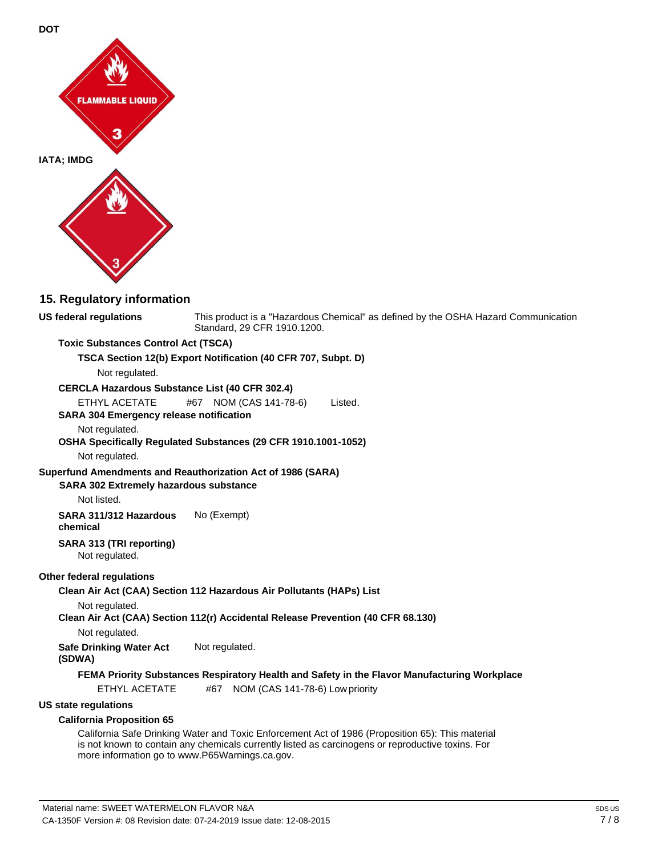

### **15. Regulatory information**

**US federal regulations** This product is a "Hazardous Chemical" as defined by the OSHA Hazard Communication Standard, 29 CFR 1910.1200.

#### **Toxic Substances Control Act (TSCA)**

#### **TSCA Section 12(b) Export Notification (40 CFR 707, Subpt. D)**

Not regulated.

#### **CERCLA Hazardous Substance List (40 CFR 302.4)**

ETHYL ACETATE #67 NOM (CAS 141-78-6) Listed.

#### **SARA 304 Emergency release notification**

#### Not regulated.

**OSHA Specifically Regulated Substances (29 CFR 1910.1001-1052)**

### Not regulated.

#### **Superfund Amendments and Reauthorization Act of 1986 (SARA)**

#### **SARA 302 Extremely hazardous substance**

Not listed.

**SARA 311/312 Hazardous chemical** No (Exempt)

#### **SARA 313 (TRI reporting)**

Not regulated.

#### **Other federal regulations**

**Clean Air Act (CAA) Section 112 Hazardous Air Pollutants (HAPs) List**

#### Not regulated.

**Clean Air Act (CAA) Section 112(r) Accidental Release Prevention (40 CFR 68.130)**

Not regulated.

**Safe Drinking Water Act**  Not regulated.

### **(SDWA)**

#### **FEMA Priority Substances Respiratory Health and Safety in the Flavor Manufacturing Workplace**

ETHYL ACETATE #67 NOM (CAS 141-78-6) Low priority

#### **US state regulations**

#### **California Proposition 65**

California Safe Drinking Water and Toxic Enforcement Act of 1986 (Proposition 65): This material is not known to contain any chemicals currently listed as carcinogens or reproductive toxins. For more information go t[o www.P65Warnings.ca.gov.](http://www.p65warnings.ca.gov/)